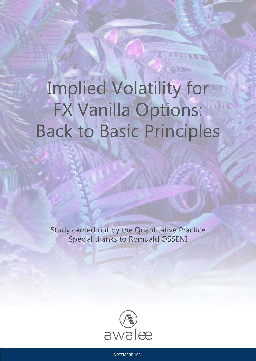# Implied Volatility for FX Vanilla Options: Back to Basic Principles

Study carried out by the Quantitative Practice Special thanks to Romuald OSSENI



DECEMBRE 2021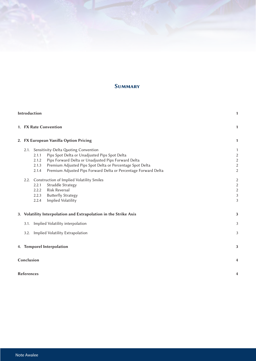# **SUMMARY**

| Introduction |                                                                  |                                                                          |                |  |  |
|--------------|------------------------------------------------------------------|--------------------------------------------------------------------------|----------------|--|--|
|              | 1. FX Rate Convention                                            |                                                                          |                |  |  |
|              | 2. FX European Vanilla Option Pricing                            |                                                                          |                |  |  |
|              | 2.1.                                                             |                                                                          |                |  |  |
|              |                                                                  | Pips Spot Delta or Unadjusted Pips Spot Delta<br>2.1.1                   | 2              |  |  |
|              |                                                                  | Pips Forward Delta or Unadjusted Pips Forward Delta<br>2.1.2             |                |  |  |
|              |                                                                  | Premium Adjusted Pips Spot Delta or Percentage Spot Delta<br>2.1.3       |                |  |  |
|              |                                                                  | Premium Adjusted Pips Forward Delta or Percentage Forward Delta<br>2.1.4 |                |  |  |
|              | 2.2.                                                             | Construction of Implied Volatility Smiles                                |                |  |  |
|              |                                                                  | <b>Straddle Strategy</b><br>2.2.1                                        |                |  |  |
|              |                                                                  | <b>Risk Reversal</b><br>2.2.2                                            |                |  |  |
|              |                                                                  | <b>Butterfly Strategy</b><br>2.2.3                                       | 3              |  |  |
|              |                                                                  | Implied Volatility<br>2.2.4                                              | 3              |  |  |
|              | 3. Volatility Interpolation and Extrapolation in the Strike Axis |                                                                          |                |  |  |
|              | 3.1.                                                             | Implied Volatility interpolation                                         | 3              |  |  |
|              | 3.2.                                                             | Implied Volatility Extrapolation                                         | 3              |  |  |
|              |                                                                  | 4. Temporel Interpolation                                                | 3              |  |  |
|              |                                                                  |                                                                          |                |  |  |
|              | Conclusion                                                       |                                                                          | $\overline{4}$ |  |  |
|              | <b>References</b>                                                |                                                                          | 4              |  |  |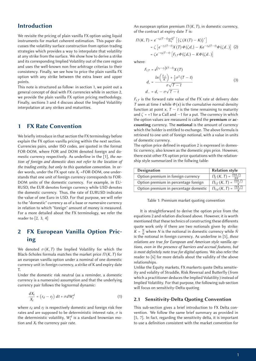## Introduction

We revisite the pricing of plain vanilla FX option using liquid instruments for market coherent estimation. This paper discusses the volatility surface construction from option trading strategies which provides a way to interpolate that volatility at any strike from the surface. We show how to derive a strike and its corresponding Implied Volatility out of the core region and uses the well-known non free arbitrage criterias to their consistency. Finally, we see how to price the plain vanilla FX option with any strike between the extra lower and upper points.

This note is structured as follow: in section 1, we point out a general concept of deal with FX currencies while in section 2, we provide the plain vanilla FX option pricing methodology. Finally, sections 3 and 4 discuss about the Implied Volatility interpolation at any strikes and maturities.

## 1 FX Rate Convention

We briefly introduce in that section the FX terminology before explain the FX option vanilla pricing within the next section. Currencies pairs, under ISO codes, are quoted in the format FOR-DOM, where FOR and DOM denoted foreign and domestic currency respectively. As underline in the [1], *the notion of foreign and domestic does not refer to the location of the trading entity, but only to this quotation convention.* In order words, under the FX spot rate  $X_t$  =FOR-DOM, one understands that one unit of foreign currency corresponds to FOR-DOM units of the domestic currency. For example, in EU-RUSD, the EUR denotes foreign currency while USD denotes the domestic currency. Thus, the rate of EURUSD indicates the value of one Euro in USD. For that purpose, we will refer to the "domestic" currency as of a base or numeraire currency in relation to which "foreign" amount of money is measured. For a more detailed about the FX terminology, we refer the reader to [2, 3, 4]

# 2 FX European Vanilla Option Pricing

We denoted  $\sigma(K, T)$  the Implied Volatility for which the Black-Scholes formula matches the market price *Π* (*K*, *T*) for an european vanilla option under a nominal of one domestic currency unit in foreign currency, a strike of K and expiry date T.

Under the domestic risk neutral (as a reminder, a domestic currency is a numeraire) assumption and that the underlying currency pair follows the lognormal dynamic:

$$
\frac{dX_t}{X_t} = (r_d - r_f) dt + \sigma dW_t^d \tag{1}
$$

where  $r_d$  and  $r_f$  is respectively domestic and foreign risk free rates and are supposed to be deterministic interest rate,  $\sigma$  is the deterministic volatility,  $W_t^d$  is a standard brownian motion and  $X_t$  the currency pair rate.

An european option premium *Π* (*K*, *T*), in domestic currency, of the contract at expiry date *T* is:

$$
\Pi(K, T) = e^{-r_d(T-t)} \mathbb{E}_t^{Q^T} \left[ \{ \zeta \left( X(T) - K \right) \}^+ \right]
$$
  
=  $\zeta \left[ e^{-r_f(T-t)} X(T) \Phi(\zeta d_+) - Ke^{-r_d(T-t)} \Phi(\zeta d_-) \right]$  (2)  
=  $\zeta e^{-r_d(T-t)} \left[ F_{t,T} \Phi(\zeta d_+) - K \Phi(\zeta d_-) \right]$ 

where:

$$
F_{t,T} = e^{(r_d - r_f)(T - t)} X(T)
$$
  
\n
$$
d_{+} = \frac{\ln\left(\frac{F_{t,T}}{K}\right) + \frac{1}{2}\sigma^2 (T - t)}{\sigma\sqrt{T - t}}
$$
  
\n
$$
d_{-} = d_{+} - \sigma\sqrt{T - t}
$$
\n(3)

 $F_{t,T}$  is the forward rate value of the FX rate at delivery date *T* seen at time *t* while  $\Phi(x)$  is the cumulative normal density function at point *x*,  $T - t$  is the time remaining to maturity and  $\zeta$  = +1 for a Call and −1 for a put. The currency in which the option values are measured is called the premium or accounting currency. The notional is the amount of currency which the holder is entitled to exchange. The above formula is retrieved to one unit of foreign notional, with a value in units of domestic currency.

The option price defined in equation 2 is expressed in domestic currency, also known as the domestic pips price. However, there exist other FX option price quotations with the relationship style summarized in the follwing table:

| Designation                           | <b>Relation style</b>                                      |
|---------------------------------------|------------------------------------------------------------|
| Option premium in foreign currency    | $\Pi_f(K, T) = \frac{\Pi(K, T)}{X K}$                      |
| Option premium in percentage foreign  | $\Pi_{\mathcal{H}}(K, T) = \frac{\overline{\Pi(K, T)}}{V}$ |
| Option premium in percentage domestic | $\Pi_{\%d}(K, T) = \frac{H(K, T)}{K}$                      |

Table 1: Premium market quoting convention

It is straightforward to derive the option price from the equations 2 and relation disclosed above. However, it is worth mentioned that these technics of constructing these differents quote work only if there are two notionals given by strike:  $K = \frac{N}{\hat{N}}$  where *N* is the notional in domestic currency while  $\hat{N}$ is the notional in foreign currency. As underline in [5], *these relations are true for European and American style vanilla options, even in the presence of barriers and accrual features, but is most definitely note true for digital options*. We also refer the reader to [6] for more details about the validity of the above relationships.

Unlike the Equity markets, FX markerts quote Delta sensitivity and volality of Straddle, Risk Reversal and Butterfly (from which a practitioner deduces the Implied Volatility) instead of Implied Volatility. For that purpose, the following sub-section will focus on sensitivity-Delta quoting

#### 2.1 Sensitivity-Delta Quoting Convention

This sub-section gives a brief introduction to FX Delta convention. We follow the same brief summary as provided in [5, 7]. In fact, regarding the sensitivity delta, it is important to use a definition consistent with the market convention for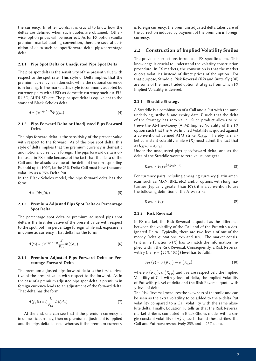the currency. In other words, it is crucial to know how the deltas are definied when such quotes are obtained. Otherwise, option prices will be incorrect. As for FX option vanilla premium market quoting convention, there are several definition of delta such as: spot/forward delta, pips/percentage delta.

#### 2.1.1 Pips Spot Delta or Unadjusted Pips Spot Delta

The pips spot delta is the sensitivity of the present value with respect to the spot rate. This style of Delta implies that the premium currency is in domestic while the notional currency is in foreing. In the market, this style is commonly adapted by currency pairs with USD as domestic currency such as: EU-RUSD, AUDUSD, etc. The pips spot delta is equivalent to the standard Black-Scholes delta:

$$
\Delta = \zeta e^{-r_f(T-t)} \phi(\zeta d_+)
$$
\n(4)

#### 2.1.2 Pips Forward Delta or Unadjusted Pips Forward Delta

The pips forward delta is the sensitivity of the present value with respect to the forward. As of the pips spot delta, this style of delta implies that the premium currency is domestic and notional currency is foreign. The pips forward delta is often used in FX smile because of the fact that the delta of the Call and the absolute value of the delta of the corresponding Put add up to 100%, i.e the 25%-Delta Call must have the same volatility as a 75%-Delta Put.

In the Black-Scholes model, the pips forward delta has the form:

$$
\Delta = \zeta \Phi(\zeta d_+) \tag{5}
$$

#### 2.1.3 Premium Adjusted Pips Spot Delta or Percentage Spot Delta

The percentage spot delta or premium adjusted pips spot delta is the first derivative of the present value with respect to the spot, both in percentage foreign while risk exposure is in domestic currency. That delta has the form:

$$
\Delta(\%) = \zeta e^{-r_f(T-t)} \frac{K}{F_{t,T}} \phi(\zeta d_-)
$$
 (6)

#### 2.1.4 Premium Adjusted Pips Forward Delta or Percentage Forward Delta

The premium adjusted pips forward delta is the first derivative of the present value with respect to the forward. As in the case of a premium adjusted pips spot delta, a premium in foreign currency leads to an adjustment of the forward delta. That delta has the form:

$$
\Delta(f, \%) = \zeta \frac{K}{F_{t,T}} \Phi(\zeta d_-) \tag{7}
$$

At the end, one can see that if the premium currency is in domestic currency, then no premium adjustment is applied and the pips delta is used, whereas if the premium currency is foreign currency, the premium adjusted delta takes care of the correction induced by payment of the premium in foreign currency.

#### 2.2 Construction of Implied Volatility Smiles

The previous subsections introduced FX specific delta. This knowledge is crucial to understand the volatiity construction procedure. In FX markets, the convention is that the market quotes volatilies instead of direct prices of the option. For that purpose, Straddle, Risk Reversal (*RR*) and Butterfly (*BB*) are some of the most traded option strategies from which FX Implied Volatility is derived.

#### 2.2.1 Straddle Strategy

A Straddle is a combination of a Call and a Put with the same underlying, strike *K* and expiry date *T* such that the delta of the Strategy has zero value. Such product allows to retrieve the At-The-Money (ATM) Implied Volatility of the FX option such that the ATM Implied Volatility is quoted against a conventional defined ATM strike  $K_{ATM}$ . Thereby, a market consistent volatility smile  $\sigma(K)$  must admit the fact that σ (*KATM*) = σ*ATM*

Under the unadjusted pips spot/forward delta, and as the delta of the Straddle worst to zero value, one get :

$$
K_{ATM} = F_{t,T} e^{\frac{1}{2}\sigma_{ATM}^2(T-t)}
$$
\n(8)

For currency pairs including emerging currency (Latin americain such as: MXN, BRL, etc.) and/or options with long maturities (typically greater than 10Y), it is a convention to use the following definition of the ATM strike:

$$
K_{ATM} = F_{t,T} \tag{9}
$$

#### 2.2.2 Risk Reversal

In FX market, the Risk Reversal is quoted as the difference between the volatility of the Call and of the Put with a designated Delta. Typically, there are two levels of out-of-the money Delta quotation: 25% and 10%. The market consistent smile function  $\sigma(K)$  has to match the information implied within the Risk Reversal. Consequently, a Risk Reversal with *y* (*i.e*  $y = \{25\%, 10\% \}$ ) level has to fulfill:

$$
\sigma_{RR}(y) = \sigma\left(K_{y,c}\right) - \sigma\left(K_{y,p}\right) \tag{10}
$$

where  $\sigma(K_{y,c})$ ,  $\sigma(K_{y,p})$  and  $\sigma_{RR}$  are respectively the Implied Volatility of Call with *y*-level of delta, the Implied Volatility of Put with *y*-level of delta and the Risk Reversal quote with *y*-level of delta.

The Risk Reversal measures the skewness of the smile and can be seen as the extra volatility to be added to the *y*-delta Put volatility compared to a Call volatility with the same absolute delta. Finally, Equation 10 tells us that the Risk Reversal market strike is computed in Black-Sholes model with a single constant volatility of  $\sigma^{\rm y}_{ATM}$ , such that at these strikes, the Call and Put have respectively 25% and −25% delta.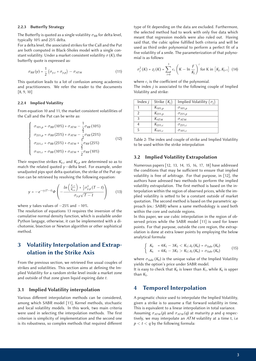#### 2.2.3 Butterfly Strategy

The Butterfly is quoted as a single volatility  $\sigma_{BB}$  for delta level, typically 10% and 25% delta.

For a delta level, the associated strikes for the Call and the Put are both computed in Black-Sholes model with a single constant volatility. Under a market consistent volatility  $\sigma(K)$ , the butterfly quote is expressed as:

$$
\sigma_{BB}(y) = \frac{1}{2} \left( \sigma_{y,c} + \sigma_{y,p} \right) - \sigma_{ATM} \tag{11}
$$

This quotation leads to a lot of confusion among academics and practitionners. We refer the reader to the documents [8, 9, 10]

#### 2.2.4 Implied Volatility

From equation 10 and 11, the market consistent volatilities of the Call and the Put can be write as:

$$
\begin{cases}\n\sigma_{10\%,p} = \sigma_{BB} (10\%) + \sigma_{ATM} - \frac{1}{2} \sigma_{RR} (10\%) \\
\sigma_{25\%,p} = \sigma_{BB} (25\%) + \sigma_{ATM} - \frac{1}{2} \sigma_{RR} (25\%) \\
\sigma_{25\%,c} = \sigma_{BB} (25\%) + \sigma_{ATM} + \frac{1}{2} \sigma_{RR} (25\%) \\
\sigma_{10\%,c} = \sigma_{BB} (10\%) + \sigma_{ATM} + \frac{1}{2} \sigma_{RR} (10\%)\n\end{cases}
$$
\n(12)

Their respective strikes  $K_{v,c}$  and  $K_{v,p}$  are determined so as to match the related quoted *y*−delta level. For example, under unadjusted pips spot delta quotation, the strike of the Put option can be retrieved by resolving the following equation:

$$
y = -e^{-r_f(T-t)}\phi\left(-\frac{\ln\left(\frac{F_{t,T}}{K_{y,\rho}}\right) + \frac{1}{2}\sigma_{y,\rho}^2(T-t)}{\sigma_{y,\rho}\sqrt{T-t}}\right) \qquad (13)
$$

where *y* takes values of  $-25\%$  and  $-10\%$ .

The resolution of equations 13 requires the inversion of the cumulative normal density function, which is avalaible under Python langage, otherwise, it can be implemented with a dichotomie, bisection or Newton algorithm or other sophistical method.

## 3 Volatility Interpolation and Extrapolation in the Strike Axis

From the previous section, we retrieved five usual couples of strikes and volatilities. This section aims at defining the Implied Volatility for a random strike level inside a market zone and outside of that zone given liquid expiring date *t*.

#### 3.1 Implied Volatility interpolation

Various different interpolation methods can be considered, among which SABR model [11], Kernel methods, stochastic and local volatility models. In this work, two main criteria were used in selecting the interpolation methods. The first criterion is simplicity of implementation and the second one is its robustness, so complex methods that required different

type of fit depending on the data are excluded. Furthermore, the selected method had to work with only five data which meant that regression models were also ruled out. Having said that, the cubic spline fulfilled both criteria and will be used as third order polynomial to perform a perfect fit of a five volatility of a smile. The parameterization of that polynomial is as follows:

$$
\sigma_j^2(K) = z_j(K) = \sum_{i=0}^3 \epsilon_i \left(K - \ln \frac{F}{K_j}\right)^i \text{ for K in } [K_j, K_{j+1}] \tag{14}
$$

where  $\epsilon_i$  is the coefficient of the polynomial.

The index *j* is associated to the following couple of Implied Volatility and strike:

| Index $j$ | Strike $(K_i)$ | Implied Volatility $(\sigma_i)$ |
|-----------|----------------|---------------------------------|
|           | $K_{10\%, p}$  | $\sigma_{10\%, p}$              |
|           | $K_{25\%, p}$  | $\sigma_{25\%, p}$              |
| 3         | $K_{ATM}$      | $\sigma_{ATM}$                  |
|           | $K_{25\%, c}$  | $\sigma_{25\%,c}$               |
| 5         | $K_{10\%, c}$  | $\sigma_{10\%,c}$               |

| Table 2: The index and couple of strike and Implied Volatility |  |  |
|----------------------------------------------------------------|--|--|
| to be used within the strike interpolation                     |  |  |

#### 3.2 Implied Volatility Extrapolation

Numerous papers [12, 13, 14, 15, 16, 17, 18] have addressed the conditions that may be sufficient to ensure that implied volatility is free of arbitrage. For that purpose, in [12], the authors have adressed two methods to perform the implied volatility extrapolation. The first method is based on the interpolation within the region of observed prices, while the implied volatility is setted to be a constant outside of market quotation. The second method is based on the parametric approach (ex.: SABR) where a same methodology is used both within the core and outside regions.

In this paper, we use cubic interpolation in the region of observed prices while the SABR model [11] is used for lower points. For that purpose, outside the core region, the extrapolation is done at extra lower points by employing the below analytical formula:

$$
\begin{cases}\nK_0 = 4K_1 - 3K_3 < K_1; z_0(K_0) = \sigma_{Sabr}(K_0) \\
K_6 = 4K_5 - 3K_3 > K_5; z_6(K_6) = \sigma_{Sabr}(K_6)\n\end{cases} \tag{15}
$$

where  $\sigma_{Sabr}$  ( $K_0$ ) is the unique value of the Implied Volatility yields the option's price under SABR model.

It is easy to check that  $K_0$  is lower than  $K_1$ , while  $K_6$  is upper than  $K_5$ .

## 4 Temporel Interpolation

A pragmatic choice used to interpolate the Implied Volatility, given a strike is to assume a flat forward volatility in time. This is equivalent to a linear interpolation in total variance. Assuming  $\sigma_{ATM}(p)$  and  $\sigma_{ATM}(q)$  at maturity p and q respectively, we may interpolate an *ATM* volatility at a time t, i.e  $p < t < q$  by the following formula: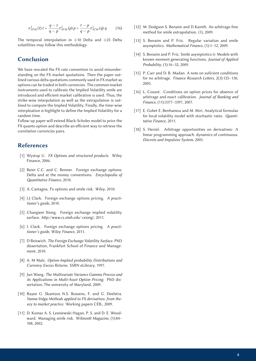$$
\sigma_{ATM}^2(t) t = \frac{q-t}{q-p} \sigma_{ATM}^2(p) p + \frac{t-p}{q-p} \sigma_{ATM}^2(q) q \qquad (16)
$$

The temporal interpolation in ∓10 Delta and ∓25 Delta volatilities may follow this methodology.

## Conclusion

We have rescaled the FX rate convention to avoid misunderstanding on the FX market quotations. Then the paper outlined various delta quotations commonly used in FX market as options can be traded in both currencies. The common market instruments used to calibrate the Implied Volatility smile are introduced and efficient market calibration is used. Thus, the strike-wise interpolation as well as the extrapolation is outlined to compute the Implied Volatility. Finally, the time-wise interploation is highlight to define the Implied Volatility for a random time.

Follow-up paper will extend Black-Scholes model to price the FX quanto option and describe an efficient way to retrieve the correlation currencies pairs.

### References

- [1] Wystup U. *FX Options and structured products*. Wiley Finance, 2006.
- [2] Beier C.C. and C. Renner. Foreign exchange options: Delta and at the money conventions. *Encyclopedia of antitative Finance*, 2010.
- [3] A. Castagna. Fx options and smile risk. *Wiley*, 2010.
- [4] I.J Clark. Foreign exchange options pricing. *A practitioner's guide*, 2010.
- [5] Changwei Xiong. Foreign exchange implied volatility surface. http://www.cs.utah.edu/ cxiong/, 2011.
- [6] I. Clark. Foreign exchange options pricing. *A practitioner's guide, Wiley Finance*, 2011.
- [7] D Reiswich. *The Foreign Exchange Volatility Surface*. PhD dissertation, Frankfurt School of Finance and Management, 2010.
- [8] A. M Malz. *Option-Implied probability Distributions and Currency Excess Returns*. SSRN eLibrary, 1997.
- [9] Jun Wang. *The Multivariate Variance Gamma Process and its Applications in Multi-Asset Option Pricing*. PhD dissertation, The university of Maryland, 2009.
- [10] Rayee G. Skantzos N.S. Bossens, F. and G. Deelstra. *Vanna-Volga Methods applied to FX derivatives: from theory to market practice*. Working papers CEB., 2009.
- [11] D. Kumar A. S. Lesniewski Hagan, P. S. and D. E. Woodward. Managing smile risk. Wilmontt Magazine, (1):84-108, 2002.
- [12] M. Dodgson S. Benaim and D Kainth. An arbitrage-free method for smile extrapolation. (1), 2009.
- [13] S. Benaim and P. Friz. Regular variation and smile asymptotics. *Mathematical Finance*, (1):1–12, 2009.
- [14] S. Benaim and P. Friz. Smile asymptotics ii: Models with known moment generating functions. *Journal of Applied Probability*, (1):16–32, 2009.
- [15] P. Carr and D. B. Madan. A note on suficient conditions for no arbitrage. *Finance Research Letters*, 2(3):125-130, 2005.
- [16] L. Cousot. Conditions on option prices for absence of arbitrage and exact calibration. *Journal of Banking and Finance*, (11):3377–3397, 2007.
- [17] E. Gobet E. Benhamou and M. Miri. Analytical formulas for local volatility model with stochastic rates. Quanti*tative Finance*, 2011.
- [18] S. Herzel. Arbitrage opportunities on derivatives: A linear programming approach. dynamics of continuous. *Discrete and Impulsive System*, 2005.